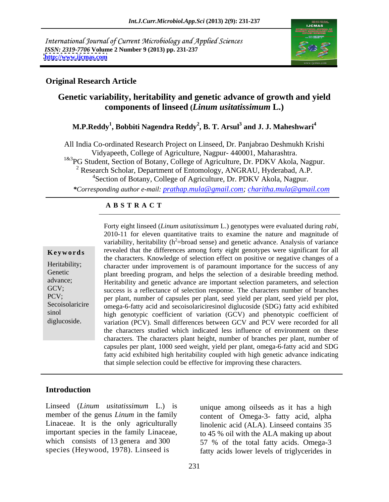International Journal of Current Microbiology and Applied Sciences *ISSN: 2319-7706* **Volume 2 Number 9 (2013) pp. 231-237 <http://www.ijcmas.com>**



### **Original Research Article**

# **Genetic variability, heritability and genetic advance of growth and yield components of linseed (***Linum usitatissimum* **L.)**

### **M.P.Reddy<sup>1</sup> , Bobbiti Nagendra Reddy<sup>2</sup> , B. T. Arsul<sup>3</sup> and J. J. Maheshwari<sup>4</sup>**

All India Co-ordinated Research Project on Linseed, Dr. Panjabrao Deshmukh Krishi Vidyapeeth, College of Agriculture, Nagpur- 440001, Maharashtra. <sup>1&3</sup>PG Student, Section of Botany, College of Agriculture, Dr. PDKV Akola, Nagpur. <sup>2</sup> Research Scholar, Department of Entomology, ANGRAU, Hyderabad, A.P. 4Section of Botany, College of Agriculture, Dr. PDKV Akola, Nagpur.

*\*Corresponding author e-mail: prathap.mula@gmail.com; charitha.mula@gmail.com*

### **A B S T R A C T**

**Keywords** revealed that the differences among forty eight genotypes were significant for all Heritability; character under improvement is of paramount importance for the success of any Genetic plant breeding program, and helps the selection of a desirable breeding method. advance;<br>
Heritability and genetic advance are important selection parameters, and selection GCV; success is a reflectance of selection response. The characters number of branches PCV; per plant, number of capsules per plant, seed yield per plant, seed yield per plot, Secoisolaricire omega-6-fatty acid and secoisolariciresinol diglucoside (SDG) fatty acid exhibited sinol high genotypic coefficient of variation (GCV) and phenotypic coefficient of Forty eight linseed (*Linum usitatissimum* L.) genotypes were evaluated during *rabi*,<br>
2010-11 for eleven quantitative traits to examine the nature and magnitude of<br> **Keywords**<br>
revealed that the differences among forty e 2010-11 for eleven quantitative traits to examine the nature and magnitude of variability, heritability ( $h^2$ =broad sense) and genetic advance. Analysis of variance the characters. Knowledge of selection effect on positive or negative changes of a variation (PCV). Small differences between GCV and PCV were recorded for all the characters studied which indicated less influence of environment on these characters. The characters plant height, number of branches per plant, number of capsules per plant, 1000 seed weight, yield per plant, omega-6-fatty acid and SDG fatty acid exhibited high heritability coupled with high genetic advance indicating that simple selection could be effective for improving these characters.

### **Introduction**

Linseed (*Linum usitatissimum* L.) is unique among oilseeds as it has a high

.

member of the genus *Linum* in the family content of Omega-3- fatty acid, alpha Linaceae. It is the only agriculturally linolenic acid (ALA). Linseed contains 35 important species in the family Linaceae, to 45 % oil with the ALA making up about which consists of 13 genera and 300 57 % of the total fatty acids. Omega-3 species (Heywood, 1978). Linseed is fatty acids lower levels of triglycerides in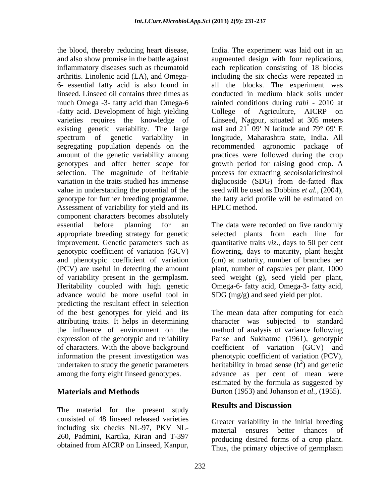the blood, thereby reducing heart disease, India. The experiment was laid out in an and also show promise in the battle against augmented design with four replications, inflammatory diseases such as rheumatoid each replication consisting of 18 blocks arthritis. Linolenic acid (LA), and Omega- including the six checks were repeated in 6- essential fatty acid is also found in all the blocks. The experiment was linseed. Linseed oil contains three times as much Omega -3- fatty acid than Omega-6 rainfed conditions during *rabi -* 2010 at -fatty acid. Development of high yielding College of Agriculture, AICRP on varieties requires the knowledge of Linseed, Nagpur, situated at 305 meters existing genetic variability. The large spectrum of genetic variability in longitude, Maharashtra state, India. All segregating population depends on the amount of the genetic variability among practices were followed during the crop genotypes and offer better scope for growth period for raising good crop. A selection. The magnitude of heritable process for extracting secoisolariciresinol variation in the traits studied has immense diglucoside (SDG) from de-fatted flax value in understanding the potential of the seed will be used as Dobbins *et al.,* (2004), genotype for further breeding programme. the fatty acid profile will be estimated on Assessment of variability for yield and its HPLC method. component characters becomes absolutely essential before planning for an Thedata were recorded on five randomly appropriate breeding strategy for genetic selected plants from each line for improvement. Genetic parameters such as quantitative traits *viz*., days to 50 per cent genotypic coefficient of variation (GCV) flowering, days to maturity, plant height and phenotypic coefficient of variation (cm) at maturity, number of branches per (PCV) are useful in detecting the amount plant, number of capsules per plant, 1000 of variability present in the germplasm. seed weight (g), seed yield per plant, Heritability coupled with high genetic Omega-6- fatty acid, Omega-3- fatty acid, advance would be more useful tool in predicting the resultant effect in selection of the best genotypes for yield and its attributing traits. It helps in determining character was subjected to standard the influence of environment on the method of analysis of variance following expression of the genotypic and reliability Panse and Sukhatme (1961), genotypic of characters. With the above background coefficient of variation (GCV) and information the present investigation was phenotypic coefficient of variation (PCV), undertaken to study the genetic parameters heritability in broad sense  $(h<sup>2</sup>)$  and genetic among the forty eight linseed genotypes. advance as per cent of mean were

The material for the present study **Results and Discussion** consisted of 48 linseed released varieties including six checks NL-97, PKV NL-<br>material ensures better chances of 260, Padmini, Kartika, Kiran and T-397 obtained from AICRP on Linseed, Kanpur,

conducted in medium black soils under msl and  $21^{\degree}$  09' N latitude and 79 $^{\degree}$  09' E  $\degree$  09' N latitude and 79 $\degree$  09' E recommended agronomic package of HPLC method.

SDG (mg/g) and seed yield per plot.

**Materials and Methods** Burton (1953) and Johanson *et al.*, (1955). The mean data after computing for each  $^{2}$  and constig ) and genetic estimated by the formula as suggested by

## **Results and Discussion**

Greater variability in the initial breeding material ensures better chances producing desired forms of a crop plant. Thus, the primary objective of germplasm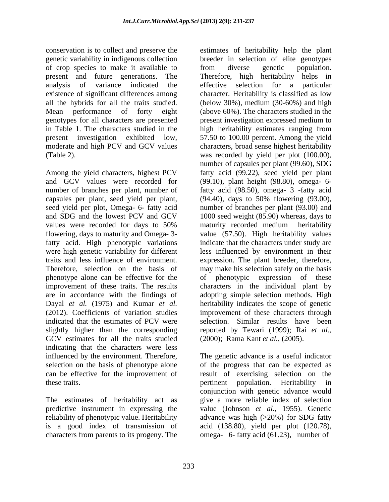conservation is to collect and preserve the estimates of heritability help the plant of crop species to make it available to existence of significant differences among genotypes for all characters are presented present investigation expressed medium to

Among the yield characters, highest PCV and GCV values were recorded for (99.10), plant height (98.80), omega- 6 number of branches per plant, number of fatty acid (98.50), omega- 3 -fatty acid capsules per plant, seed yield per plant, (94.40), days to 50% flowering (93.00), seed yield per plot, Omega- 6- fatty acid mumber of branches per plant (93.00) and and SDG and the lowest PCV and GCV 1000 seed weight (85.90) whereas, days to values were recorded for days to 50% maturity recorded medium heritability flowering, days to maturity and Omega- 3- value (57.50). High heritability values fatty acid. High phenotypic variations were high genetic variability for different less influenced by environment in their traits and less influence of environment. expression. The plant breeder, therefore, Therefore, selection on the basis of may make his selection safely on the basis phenotype alone can be effective for the improvement of these traits. The results characters in the individual plant by are in accordance with the findings of adopting simple selection methods. High Dayal *et al.* (1975) and Kumar *et al.* heritability indicates the scope of genetic (2012). Coefficients of variation studies improvement of these characters through indicated that the estimates of PCV were selection. Similar results have been slightly higher than the corresponding reported by Tewari (1999); Rai *et al.,* GCV estimates for all the traits studied indicating that the characters were less influenced by the environment. Therefore, The genetic advance is a useful indicator selection on the basis of phenotype alone of the progress that can be expected as can be effective for the improvement of result of exercising selection on the these traits. pertinent population. Heritability in

The estimates of heritability act as

genetic variability in indigenous collection breeder in selection of elite genotypes present and future generations. The Therefore, high heritability helps in analysis of variance indicated the effective selection for a particular all the hybrids for all the traits studied. (below 30%), medium (30-60%) and high Mean performance of forty eight (above 60%). The characters studied in the in Table 1. The characters studied in the high heritability estimates ranging from present investigation exhibited low, 57.50 to 100.00 percent. Among the yield moderate and high PCV and GCV values characters, broad sense highest heritability (Table 2). was recorded by yield perplot (100.00), from diverse genetic population. character. Heritability is classified as low present investigation expressed medium to number of capsules per plant (99.60), SDG fatty acid (99.22), seed yield per plant maturity recorded medium heritability indicate that the characters under study are of phenotypic expression of these (2000); Rama Kant *et al.,* (2005).

predictive instrument in expressing the value (Johnson *et al*., 1955). Genetic reliability of phenotypic value. Heritability advance was high (>20%) for SDG fatty is a good index of transmission of acid (138.80), yield per plot (120.78), characters from parents to its progeny. The omega- 6- fatty acid (61.23), number of conjunction with genetic advance would give a more reliable index of selection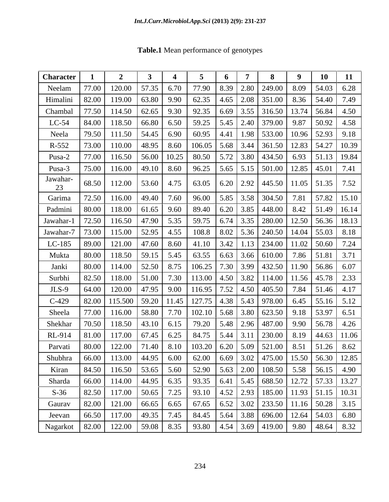| <b>Table.1</b> Mean performance of genotypes |  |  |
|----------------------------------------------|--|--|
| <i>. .</i>                                   |  |  |

| <b>Character</b>                         |       |                                                                                             |                     |      |                                                                                    |             |      |                                                 | -9   | 10                                                                                       | 11    |
|------------------------------------------|-------|---------------------------------------------------------------------------------------------|---------------------|------|------------------------------------------------------------------------------------|-------------|------|-------------------------------------------------|------|------------------------------------------------------------------------------------------|-------|
| Neelam                                   | 77.00 | 120.00                                                                                      | 57.35               | 6.70 | 77.90                                                                              | 8.39        | 2.80 | 249.00                                          | 8.09 | 54.03                                                                                    | 6.28  |
| Himalini                                 | 82.00 | 119.00                                                                                      | 63.80               | 9.90 | 62.35                                                                              | 4.65        | 2.08 | 351.00                                          | 8.36 | 54.40                                                                                    | 7.49  |
| Chambal                                  | 77.50 | 114.50                                                                                      | 62.65               | 9.30 | 92.35                                                                              | $\mid$ 6.69 |      | $\mid$ 3.55   316.50   13.74                    |      | 56.84                                                                                    | 4.50  |
| $LC-54$                                  | 84.00 | 118.50                                                                                      | 66.80               | 6.50 | 59.25                                                                              | 5.45        | 2.40 | $ 379.00 $ 9.87                                 |      | 50.92                                                                                    | 4.58  |
| Neela                                    | 79.50 | $111.50$   54.45   6.90                                                                     |                     |      | 60.95 $\mid$ 4.41                                                                  |             |      | 1.98   533.00   10.96   52.93                   |      |                                                                                          | 9.18  |
| $R-552$                                  | 73.00 | 110.00                                                                                      | $148.95$ 8.60       |      |                                                                                    |             |      | $106.05$   5.68   3.44   361.50   12.83   54.27 |      |                                                                                          | 10.39 |
| Pusa-2                                   | 77.00 | $116.50$   56.00   10.25                                                                    |                     |      | $\mid$ 80.50 $\mid$ 5.72 $\mid$ 3.80 $\mid$ 434.50 $\mid$ 6.93 $\mid$ 51.13 $\mid$ |             |      |                                                 |      |                                                                                          | 19.84 |
| Pusa-3                                   | 75.00 | 116.00                                                                                      | 49.10 8.60          |      | 96.25                                                                              |             |      | $\mid$ 5.65   5.15   501.00   12.85   45.01     |      |                                                                                          | 7.41  |
| Jawahar-<br>23                           | 68.50 | $112.00$ 53.60 4.75                                                                         |                     |      |                                                                                    |             |      |                                                 |      | 63.05   6.20   2.92   445.50   11.05   51.35   7.52                                      |       |
| Garima                                   | 72.50 | 116.00                                                                                      | $49.40$ 7.60        |      |                                                                                    |             |      |                                                 |      | 96.00   5.85   3.58   304.50   7.81   57.82   15.10                                      |       |
| Padmini                                  | 80.00 | $118.00$   61.65   9.60                                                                     |                     |      |                                                                                    |             |      |                                                 |      | 89.40   6.20   3.85   448.00   8.42   51.49   16.14                                      |       |
| Jawahar-                                 | 72.50 | 116.50                                                                                      | 47.90               | 5.35 | 59.75                                                                              | 6.74        |      |                                                 |      | $\vert 3.35 \vert 280.00 \vert 12.50 \vert 56.36 \vert$                                  | 18.13 |
| Jawahar-7                                |       | 73.00 115.00                                                                                | $\mid$ 52.95   4.55 |      | 108.8   8.02                                                                       |             |      |                                                 |      | $\mid$ 5.36 $\mid$ 240.50 $\mid$ 14.04 $\mid$ 55.03                                      | 8.18  |
| $LC-185$                                 | 89.00 | 121.00                                                                                      | 47.60               | 8.60 | 41.10                                                                              | 3.42        |      | $1.13$   234.00   11.02   50.60                 |      |                                                                                          | 7.24  |
| Mukta                                    | 80.00 | $118.50$   59.15   5.45                                                                     |                     |      |                                                                                    |             |      | $63.55$   6.63   3.66   610.00   7.86   51.81   |      |                                                                                          | 3.71  |
| Janki                                    | 80.00 | 114.00                                                                                      | 52.50   8.75        |      | 106.25                                                                             | 7.30        | 3.99 | 432.50 11.90 56.86                              |      |                                                                                          | 6.07  |
| Surbhi                                   | 82.50 | 118.00                                                                                      | 51.00               | 7.30 | 113.00   4.50   3.82   114.00   11.56   45.78                                      |             |      |                                                 |      |                                                                                          | 2.33  |
| $JLS-9$                                  | 64.00 | 120.00                                                                                      | 47.95               | 9.00 | 116.95                                                                             | 7.52        |      | $\mid$ 4.50 $\mid$ 405.50 $\mid$ 7.84           |      | 51.46                                                                                    | 4.17  |
| $C-429$                                  |       | 82.00   115.500   59.20   11.45                                                             |                     |      | 127.75   4.38   5.43   978.00   6.45   55.16                                       |             |      |                                                 |      |                                                                                          | 5.12  |
| Sheela                                   | 77.00 | 116.00                                                                                      | 58.80               | 7.70 | 102.10                                                                             | 5.68        |      | $\vert 3.80 \vert 623.50 \vert 9.18 \vert$      |      | 53.97                                                                                    | 6.51  |
| Shekhar                                  |       | 70.50   118.50   43.10   6.15                                                               |                     |      |                                                                                    |             |      |                                                 |      | 79.20   5.48   2.96   487.00   9.90   56.78                                              | 4.26  |
| RL-914                                   | 81.00 | 117.00                                                                                      | 67.45 6.25          |      | 84.75 5.44                                                                         |             |      | $\mid$ 3.11   230.00   8.19                     |      | 44.63                                                                                    | 11.06 |
| Parvati                                  | 80.00 | 122.00   71.40   8.10                                                                       |                     |      | 103.20   6.20   5.09   521.00   8.51   51.26   8.62                                |             |      |                                                 |      |                                                                                          |       |
| Shubhra                                  |       | $\mid$ 66.00   113.00   44.95   6.00   62.00   6.69   3.02   475.00   15.50   56.30   12.85 |                     |      |                                                                                    |             |      |                                                 |      |                                                                                          |       |
| Kiran                                    | 84.50 | $116.50$ 53.65 5.60                                                                         |                     |      |                                                                                    |             |      |                                                 |      |                                                                                          | 4.90  |
| Sharda                                   |       | 66.00 114.00 44.95 6.35                                                                     |                     |      | 93.35 6.41 5.45 688.50 12.72 57.33 13.27                                           |             |      |                                                 |      |                                                                                          |       |
| $S-36$                                   | 82.50 | $117.00$ 50.65                                                                              |                     | 7.25 |                                                                                    |             |      |                                                 |      | 93.10 $\vert$ 4.52 $\vert$ 2.93 $\vert$ 185.00 $\vert$ 11.93 $\vert$ 51.15 $\vert$ 10.31 |       |
| Gaurav                                   |       | $82.00$   121.00   66.65   6.65                                                             |                     |      |                                                                                    |             |      |                                                 |      | 67.65 $\big $ 6.52 $\big $ 3.02 $\big $ 233.50 $\big $ 11.16 $\big $ 50.28 $\big $ 3.15  |       |
| Jeevan                                   |       | 66.50   117.00   49.35   7.45                                                               |                     |      | 84.45   5.64   3.88   696.00   12.64   54.03                                       |             |      |                                                 |      |                                                                                          | 6.80  |
| Nagarkot   82.00   122.00   59.08   8.35 |       |                                                                                             |                     |      |                                                                                    |             |      |                                                 |      |                                                                                          | 8.32  |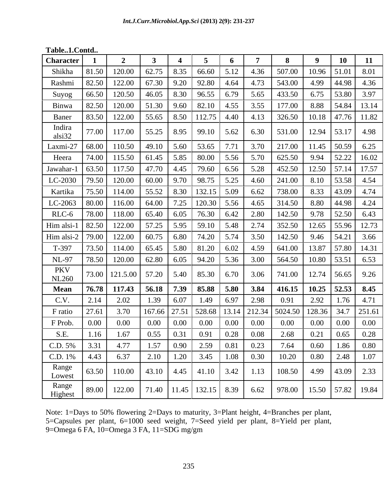**Table..1.Contd..**

| <b>Character</b>    |          |                                                |                                                                                          |                    |                             |               |                                 |                                                                                |          | 10                     |                         |
|---------------------|----------|------------------------------------------------|------------------------------------------------------------------------------------------|--------------------|-----------------------------|---------------|---------------------------------|--------------------------------------------------------------------------------|----------|------------------------|-------------------------|
| Shikha              | 81.50    | 120.00                                         | 62.75                                                                                    | 8.35               | 66.60                       | 5.12          | 4.36                            | 507.00                                                                         | 10.96    | 51.01                  | 8.01                    |
| Rashmi              | 82.50    | 122.00                                         | 67.30                                                                                    | 9.20               | 92.80                       | 4.64          | 4.73                            | 543.00                                                                         | 4.99     | 44.98                  | 4.36                    |
| Suyog               | 66.50    | 120.50                                         | 46.05                                                                                    | 8.30               | 96.55                       | 6.79          | 5.65                            | 433.50                                                                         | 6.75     | 53.80                  | 3.97                    |
| Binwa               | 82.50    | 120.00                                         | 51.30                                                                                    | 9.60               | 82.10                       | 4.55          | 3.55                            | 177.00                                                                         | 8.88     | 54.84                  | 13.14                   |
| Baner               | 83.50    | 122.00                                         |                                                                                          | 55.65 8.50         | $112.75$ 4.40               |               | 4.13                            | 326.50                                                                         |          |                        | $10.18$   47.76   11.82 |
| Indira<br>alsi32    | 77.00    | $117.00$   55.25   8.95   99.10   5.62         |                                                                                          |                    |                             |               | 6.30                            | 531.00                                                                         |          | 12.94   53.17   4.98   |                         |
| Laxmi-27 68.00      |          | $110.50$ 49.10 5.60                            |                                                                                          |                    | 53.65                       |               | 3.70                            | 217.00                                                                         |          | 11.45   50.59          | 6.25                    |
| Heera               | 74.00    | $115.50$   61.45   5.85   80.00   5.56         |                                                                                          |                    |                             |               | 5.70                            | 625.50                                                                         |          | 9.94 52.22             | 16.02                   |
| Jawahar-1           | 63.50    | 117.50                                         | 47.70                                                                                    | $\vert 4.45 \vert$ | 79.60                       | 6.56          | 5.28                            | 452.50                                                                         |          | $12.50$ 57.14          | 17.57                   |
| LC-2030             | 79.50    | 120.00                                         | 60.00                                                                                    |                    | $9.70$ 98.75 5.25           |               | 4.60                            | 241.00                                                                         | 8.10     | 53.58                  | 4.54                    |
| Kartika             | 75.50    | 114.00                                         | 55.52                                                                                    | 8.30               | $132.15$ 5.09               |               | 6.62                            | 738.00                                                                         | 8.33     | 43.09                  | 4.74                    |
| LC-2063             | 80.00    | 116.00                                         | 64.00                                                                                    |                    | 7.25 120.30 5.56            |               | 4.65                            | 314.50                                                                         | 8.80     | 44.98                  | 4.24                    |
| RLC-6               | 78.00    | 118.00                                         | $65.40 \mid 6.05$                                                                        |                    | 76.30 6.42                  |               | 2.80                            | 142.50                                                                         | 9.78     | 52.50                  | 6.43                    |
| Him alsi-1   82.50  |          | 122.00                                         |                                                                                          |                    | 57.25   5.95   59.10   5.48 |               | 2.74                            | 352.50                                                                         |          | $12.65$ 55.96          | 12.73                   |
| Him alsi-2   79.00  |          | 122.00                                         | $60.75$ 6.80                                                                             |                    | 74.20 5.74                  |               | 3.50                            | 142.50                                                                         |          | 9.46 54.21             | 3.66                    |
| $T-397$             | 73.50    | 114.00                                         | $\begin{array}{ c c c c c c c c } \hline 65.45 & 5.80 & 81.20 & 6.02 \hline \end{array}$ |                    |                             |               | 4.59                            | 641.00                                                                         |          | 13.87   57.80   14.31  |                         |
| NL-97               | 78.50    | 120.00                                         | $62.80 \t 6.05$                                                                          |                    | 94.20 5.36                  |               | 3.00                            | 564.50                                                                         |          | 10.80 53.51            | 6.53                    |
| PKV<br><b>NL260</b> |          | 73.00   121.5.00   57.20   5.40   85.30   6.70 |                                                                                          |                    |                             |               | 3.06                            | 741.00                                                                         |          | $12.74$ 56.65          | 9.26                    |
| <b>Mean</b>         | 76.78    | $117.43$   56.18   7.39                        |                                                                                          |                    | 85.88 5.80                  |               | 3.84                            | 416.15                                                                         |          | $10.25$   52.53   8.45 |                         |
| C.V.                | 2.14     | 2.02                                           | 1.39                                                                                     | 6.07               | 1.49                        | 6.97          | 2.98                            | 0.91                                                                           | 2.92     | 1.76                   | 4.71                    |
| F ratio             | 27.61    | 3.70                                           | 167.66 27.51                                                                             |                    |                             |               | $\vert$ 528.68   13.14   212.34 | 5024.50                                                                        | 128.36   | 34.7                   | 251.61                  |
| F Prob.             | $0.00\,$ | $0.00\,$                                       | $0.00\,$                                                                                 | 0.00               |                             | $0.00 \ 0.00$ | $0.00\,$                        | $0.00\,$                                                                       | $0.00\,$ | $0.00\,$               | $0.00\,$                |
| S.E.                | 1.16     | 1.67                                           | 0.55                                                                                     | $\mid$ 0.31        | 0.91                        | 0.28          | 0.08                            | 2.68                                                                           | 0.21     | 0.65                   | 0.28                    |
| C.D. 5%             | 3.31     | 4.77                                           | 1.57                                                                                     | 0.90               | $2.59$ 0.81                 |               | 0.23                            | 7.64                                                                           | 0.60     |                        | $1.86$ 0.80             |
| $C.D. 1\%$          | 4.43     | 6.37                                           | 2.10                                                                                     | 1.20               | 3.45                        | 1.08          | 0.30                            | 10.20                                                                          | 0.80     | 2.48                   | 1.07                    |
| Range<br>Lowest     | 63.50    | $110.00$ 43.10 4.45 41.10 3.42                 |                                                                                          |                    |                             |               | 1.13                            | 108.50                                                                         |          |                        | $4.99$ 43.09 2.33       |
| Range<br>Highest    | 89.00    |                                                |                                                                                          |                    |                             |               |                                 | 122.00   71.40   11.45   132.15   8.39   6.62   978.00   15.50   57.82   19.84 |          |                        |                         |

Note: 1=Days to 50% flowering 2=Days to maturity, 3=Plant height, 4=Branches per plant, 5=Capsules per plant, 6=1000 seed weight, 7=Seed yield per plant, 8=Yield per plant, 9=Omega 6 FA, 10=Omega 3 FA, 11=SDG mg/gm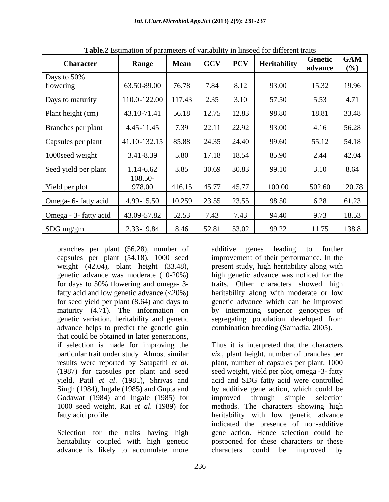|        |                         |                                                                                                                                                                                       |                                                  | 93.00                                                                                                                                                                                                                                                                     | 15.32   19.96                                                                            |                                                                                                                                                                                                              |
|--------|-------------------------|---------------------------------------------------------------------------------------------------------------------------------------------------------------------------------------|--------------------------------------------------|---------------------------------------------------------------------------------------------------------------------------------------------------------------------------------------------------------------------------------------------------------------------------|------------------------------------------------------------------------------------------|--------------------------------------------------------------------------------------------------------------------------------------------------------------------------------------------------------------|
|        |                         |                                                                                                                                                                                       |                                                  |                                                                                                                                                                                                                                                                           |                                                                                          | 4.71                                                                                                                                                                                                         |
|        |                         |                                                                                                                                                                                       |                                                  |                                                                                                                                                                                                                                                                           |                                                                                          | 33.48                                                                                                                                                                                                        |
|        |                         |                                                                                                                                                                                       |                                                  |                                                                                                                                                                                                                                                                           |                                                                                          |                                                                                                                                                                                                              |
|        |                         |                                                                                                                                                                                       |                                                  |                                                                                                                                                                                                                                                                           |                                                                                          | 56.28                                                                                                                                                                                                        |
|        |                         |                                                                                                                                                                                       |                                                  |                                                                                                                                                                                                                                                                           | 55.12                                                                                    | 54.18                                                                                                                                                                                                        |
|        |                         |                                                                                                                                                                                       |                                                  |                                                                                                                                                                                                                                                                           |                                                                                          | 42.04                                                                                                                                                                                                        |
|        |                         |                                                                                                                                                                                       |                                                  |                                                                                                                                                                                                                                                                           |                                                                                          | 8.64                                                                                                                                                                                                         |
|        |                         |                                                                                                                                                                                       |                                                  |                                                                                                                                                                                                                                                                           |                                                                                          |                                                                                                                                                                                                              |
| 978.00 |                         |                                                                                                                                                                                       |                                                  | 100.00                                                                                                                                                                                                                                                                    | 502.60 120.78                                                                            |                                                                                                                                                                                                              |
|        |                         |                                                                                                                                                                                       |                                                  | 98.50                                                                                                                                                                                                                                                                     |                                                                                          | 61.23                                                                                                                                                                                                        |
|        |                         |                                                                                                                                                                                       |                                                  |                                                                                                                                                                                                                                                                           |                                                                                          |                                                                                                                                                                                                              |
|        |                         |                                                                                                                                                                                       |                                                  |                                                                                                                                                                                                                                                                           |                                                                                          | 18.53                                                                                                                                                                                                        |
|        |                         |                                                                                                                                                                                       |                                                  | 99.22                                                                                                                                                                                                                                                                     | 11.75                                                                                    | 138.8                                                                                                                                                                                                        |
|        | <b>Range</b><br>108.50- | <b>Mean</b><br>$43.10 - 71.41$<br>4.45-11.45<br>7.39<br>$3.41 - 8.39$<br>1.14-6.62<br>Omega- 6- fatty acid 4.99-15.50<br>Omega - 3- fatty acid   43.09-57.82  <br>52.53<br>2.33-19.84 | 56.18<br>22.11<br>$ 41.10-132.15 85.88 $<br>5.80 | $\vert$ 110.0-122.00 $\vert$ 117.43 $\vert$ 2.35 $\vert$ 3.10<br>$12.75$ 12.83<br>22.92<br>$\begin{array}{ c c c c c c } \hline 24.35 & 24.40 \hline \end{array}$<br>17.18   18.54  <br> 416.15 45.77 45.77 <br>$10.259$ 23.55 23.55<br>7.43 7.43<br>8.46   52.81   53.02 | 57.50<br>98.80<br>93.00<br>99.60<br>85.90<br>$3.85$   $30.69$   $30.83$   99.10<br>94.40 | <b>rapical</b> Estimation of parameters or variability in inisecution uniform trans-<br>Genetic GAM<br>  GCV   PCV   Heritability<br>advance $(\%)$<br>5.53<br>18.81<br>4.16<br>2.44<br>3.10<br>6.28<br>9.73 |

**Table.2** Estimation of parameters of variability in linseed for different traits

branches per plant (56.28), number of capsules per plant (54.18), 1000 seed improvement of their performance. In the weight (42.04), plant height (33.48), present study, high heritability along with genetic advance was moderate (10-20%) for days to 50% flowering and omega- 3 fatty acid and low genetic advance (<20%) heritability along with moderate or low for seed yield per plant (8.64) and days to genetic advance which can be improved maturity (4.71). The information on genetic variation, heritability and genetic advance helps to predict the genetic gain that could be obtained in later generations, Godawat (1984) and Ingale (1985) for improved through simple selection

advance is likely to accumulate more characters could be improved by

additive genes leading to further high genetic advance was noticed for the traits. Other characters showed high by intermating superior genotypes of segregating population developed from combination breeding (Samadia, 2005).

if selection is made for improving the Thus it is interpreted that the characters particular trait under study. Almost similar *viz*., plant height, number of branches per results were reported by Satapathi *et al*. (1987) for capsules per plant, 1000 (1987) for capsules per plant and seed weight, yield per plot, omega -3- fatty yield, Patil *et al*. (1981), Shrivas and acid and SDG fatty acid were controlled Singh (1984), Ingale (1985) and Gupta and by additive gene action, which could be 1000 seed weight, Rai *et al*. (1989) for methods. The characters showing high fatty acid profile. heritability with low genetic advance Selection for the traits having high gene action. Hence selection could be heritability coupled with high genetic postponed for these characters or these plant, number of capsules per plant, 1000 seed weight, yield per plot, omega -3- fatty improved through simple selection indicated the presence of non-additive characters could be improved by